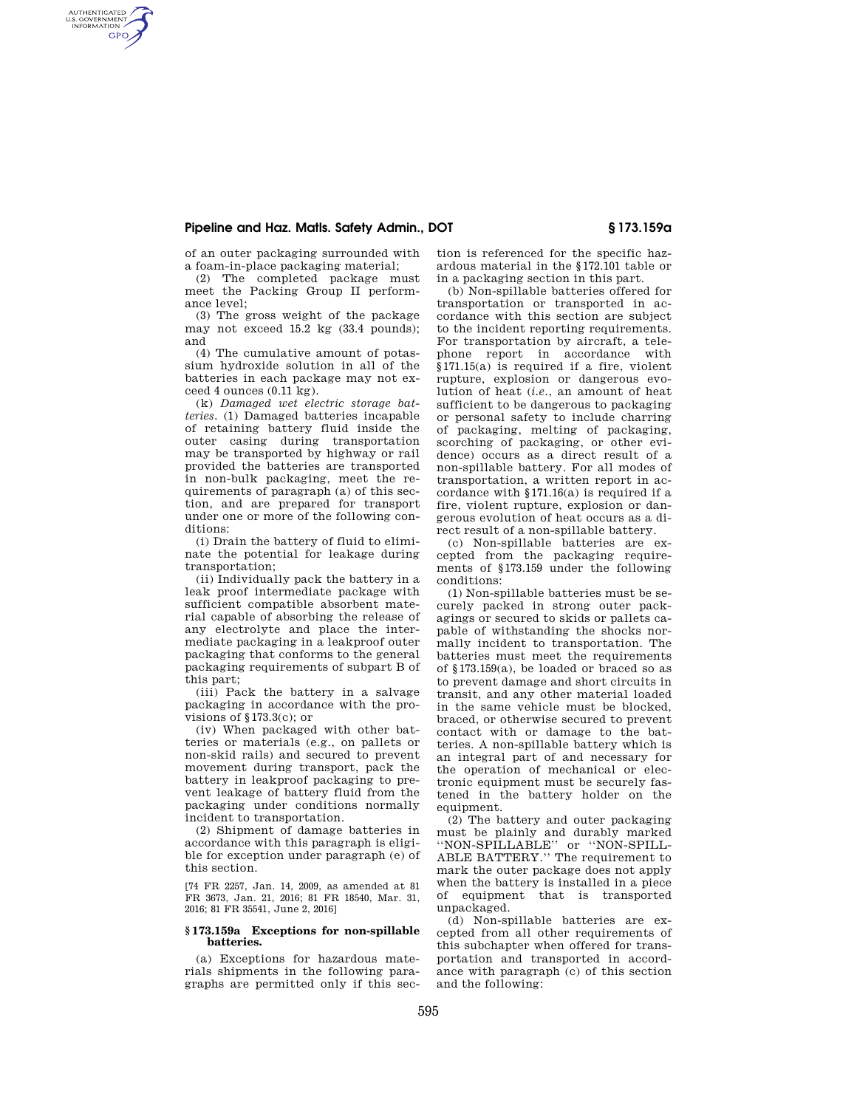## **Pipeline and Haz. Matls. Safety Admin., DOT § 173.159a**

of an outer packaging surrounded with a foam-in-place packaging material;

AUTHENTICATED<br>U.S. GOVERNMENT<br>INFORMATION **GPO** 

> (2) The completed package must meet the Packing Group II performance level;

> (3) The gross weight of the package may not exceed 15.2 kg (33.4 pounds); and

> (4) The cumulative amount of potassium hydroxide solution in all of the batteries in each package may not exceed 4 ounces (0.11 kg).

(k) *Damaged wet electric storage batteries.* (1) Damaged batteries incapable of retaining battery fluid inside the outer casing during transportation may be transported by highway or rail provided the batteries are transported in non-bulk packaging, meet the requirements of paragraph (a) of this section, and are prepared for transport under one or more of the following conditions:

(i) Drain the battery of fluid to eliminate the potential for leakage during transportation;

(ii) Individually pack the battery in a leak proof intermediate package with sufficient compatible absorbent material capable of absorbing the release of any electrolyte and place the intermediate packaging in a leakproof outer packaging that conforms to the general packaging requirements of subpart B of this part;

(iii) Pack the battery in a salvage packaging in accordance with the provisions of §173.3(c); or

(iv) When packaged with other batteries or materials (e.g., on pallets or non-skid rails) and secured to prevent movement during transport, pack the battery in leakproof packaging to prevent leakage of battery fluid from the packaging under conditions normally incident to transportation.

(2) Shipment of damage batteries in accordance with this paragraph is eligible for exception under paragraph (e) of this section.

[74 FR 2257, Jan. 14, 2009, as amended at 81 FR 3673, Jan. 21, 2016; 81 FR 18540, Mar. 31, 2016; 81 FR 35541, June 2, 2016]

#### **§ 173.159a Exceptions for non-spillable batteries.**

(a) Exceptions for hazardous materials shipments in the following paragraphs are permitted only if this section is referenced for the specific hazardous material in the §172.101 table or in a packaging section in this part.

(b) Non-spillable batteries offered for transportation or transported in accordance with this section are subject to the incident reporting requirements. For transportation by aircraft, a telephone report in accordance with §171.15(a) is required if a fire, violent rupture, explosion or dangerous evolution of heat (*i.e.*, an amount of heat sufficient to be dangerous to packaging or personal safety to include charring of packaging, melting of packaging, scorching of packaging, or other evidence) occurs as a direct result of a non-spillable battery. For all modes of transportation, a written report in accordance with §171.16(a) is required if a fire, violent rupture, explosion or dangerous evolution of heat occurs as a direct result of a non-spillable battery.

(c) Non-spillable batteries are excepted from the packaging requirements of §173.159 under the following conditions:

(1) Non-spillable batteries must be securely packed in strong outer packagings or secured to skids or pallets capable of withstanding the shocks normally incident to transportation. The batteries must meet the requirements of §173.159(a), be loaded or braced so as to prevent damage and short circuits in transit, and any other material loaded in the same vehicle must be blocked, braced, or otherwise secured to prevent contact with or damage to the batteries. A non-spillable battery which is an integral part of and necessary for the operation of mechanical or electronic equipment must be securely fastened in the battery holder on the equipment.

(2) The battery and outer packaging must be plainly and durably marked ''NON-SPILLABLE'' or ''NON-SPILL-ABLE BATTERY.'' The requirement to mark the outer package does not apply when the battery is installed in a piece of equipment that is transported unpackaged.

(d) Non-spillable batteries are excepted from all other requirements of this subchapter when offered for transportation and transported in accordance with paragraph (c) of this section and the following: